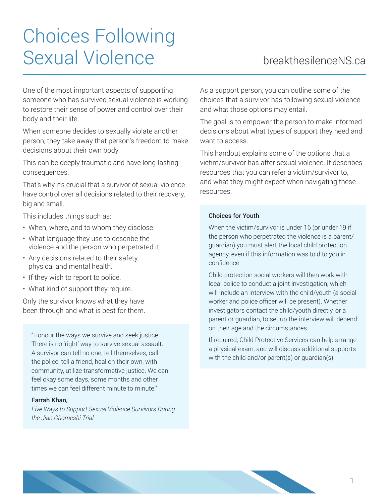# Choices Following Sexual Violence **breakthesilenceNS.ca**

One of the most important aspects of supporting someone who has survived sexual violence is working to restore their sense of power and control over their body and their life.

When someone decides to sexually violate another person, they take away that person's freedom to make decisions about their own body.

This can be deeply traumatic and have long-lasting consequences.

That's why it's crucial that a survivor of sexual violence have control over all decisions related to their recovery, big and small.

This includes things such as:

- When, where, and to whom they disclose.
- What language they use to describe the violence and the person who perpetrated it.
- Any decisions related to their safety, physical and mental health.
- If they wish to report to police.
- What kind of support they require.

Only the survivor knows what they have been through and what is best for them.

"Honour the ways we survive and seek justice. There is no 'right' way to survive sexual assault. A survivor can tell no one, tell themselves, call the police, tell a friend, heal on their own, with community, utilize transformative justice. We can feel okay some days, some months and other times we can feel different minute to minute."

#### Farrah Khan,

*Five Ways to Support Sexual Violence Survivors During the Jian Ghomeshi Trial*

As a support person, you can outline some of the choices that a survivor has following sexual violence and what those options may entail.

The goal is to empower the person to make informed decisions about what types of support they need and want to access.

This handout explains some of the options that a victim/survivor has after sexual violence. It describes resources that you can refer a victim/survivor to, and what they might expect when navigating these resources.

#### Choices for Youth

When the victim/survivor is under 16 (or under 19 if the person who perpetrated the violence is a parent/ guardian) you must alert the local child protection agency, even if this information was told to you in confidence.

Child protection social workers will then work with local police to conduct a joint investigation, which will include an interview with the child/youth (a social worker and police officer will be present). Whether investigators contact the child/youth directly, or a parent or guardian, to set up the interview will depend on their age and the circumstances.

If required, Child Protective Services can help arrange a physical exam, and will discuss additional supports with the child and/or parent(s) or quardian(s).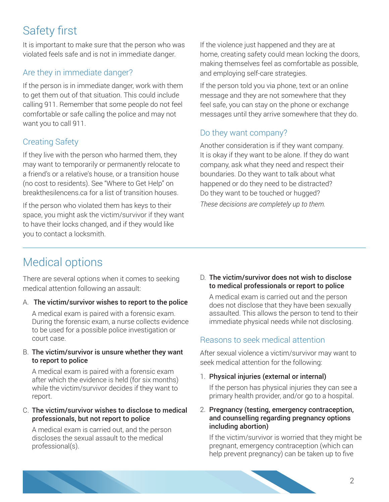## Safety first

It is important to make sure that the person who was violated feels safe and is not in immediate danger.

### Are they in immediate danger?

If the person is in immediate danger, work with them to get them out of that situation. This could include calling 911. Remember that some people do not feel comfortable or safe calling the police and may not want you to call 911.

### Creating Safety

If they live with the person who harmed them, they may want to temporarily or permanently relocate to a friend's or a relative's house, or a transition house (no cost to residents). See "Where to Get Help" on breakthesilencens.ca for a list of transition houses.

If the person who violated them has keys to their space, you might ask the victim/survivor if they want to have their locks changed, and if they would like you to contact a locksmith.

If the violence just happened and they are at home, creating safety could mean locking the doors, making themselves feel as comfortable as possible, and employing self-care strategies.

If the person told you via phone, text or an online message and they are not somewhere that they feel safe, you can stay on the phone or exchange messages until they arrive somewhere that they do.

#### Do they want company?

Another consideration is if they want company. It is okay if they want to be alone. If they do want company, ask what they need and respect their boundaries. Do they want to talk about what happened or do they need to be distracted? Do they want to be touched or hugged?

*These decisions are completely up to them.*

### Medical options

There are several options when it comes to seeking medical attention following an assault:

#### A. The victim/survivor wishes to report to the police

A medical exam is paired with a forensic exam. During the forensic exam, a nurse collects evidence to be used for a possible police investigation or court case.

#### B. The victim/survivor is unsure whether they want to report to police

A medical exam is paired with a forensic exam after which the evidence is held (for six months) while the victim/survivor decides if they want to report.

#### C. The victim/survivor wishes to disclose to medical professionals, but not report to police

A medical exam is carried out, and the person discloses the sexual assault to the medical professional(s).

#### D. The victim/survivor does not wish to disclose to medical professionals or report to police

A medical exam is carried out and the person does not disclose that they have been sexually assaulted. This allows the person to tend to their immediate physical needs while not disclosing.

#### Reasons to seek medical attention

After sexual violence a victim/survivor may want to seek medical attention for the following:

1. Physical injuries (external or internal)

If the person has physical injuries they can see a primary health provider, and/or go to a hospital.

#### 2. Pregnancy (testing, emergency contraception, and counselling regarding pregnancy options including abortion)

If the victim/survivor is worried that they might be pregnant, emergency contraception (which can help prevent pregnancy) can be taken up to five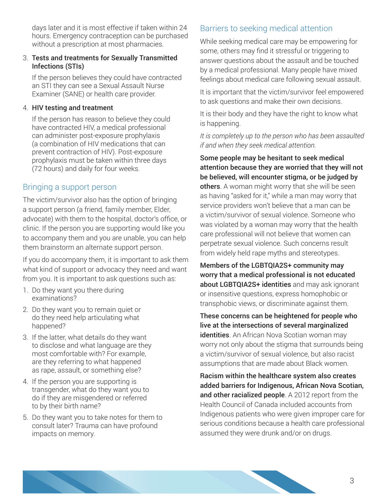days later and it is most effective if taken within 24 hours. Emergency contraception can be purchased without a prescription at most pharmacies.

#### 3. Tests and treatments for Sexually Transmitted Infections (STIs)

If the person believes they could have contracted an STI they can see a Sexual Assault Nurse Examiner (SANE) or health care provider.

#### 4. HIV testing and treatment

If the person has reason to believe they could have contracted HIV, a medical professional can administer post-exposure prophylaxis (a combination of HIV medications that can prevent contraction of HIV). Post-exposure prophylaxis must be taken within three days (72 hours) and daily for four weeks.

#### Bringing a support person

The victim/survivor also has the option of bringing a support person (a friend, family member, Elder, advocate) with them to the hospital, doctor's office, or clinic. If the person you are supporting would like you to accompany them and you are unable, you can help them brainstorm an alternate support person.

If you do accompany them, it is important to ask them what kind of support or advocacy they need and want from you. It is important to ask questions such as:

- 1. Do they want you there during examinations?
- 2. Do they want you to remain quiet or do they need help articulating what happened?
- 3. If the latter, what details do they want to disclose and what language are they most comfortable with? For example, are they referring to what happened as rape, assault, or something else?
- 4. If the person you are supporting is transgender, what do they want you to do if they are misgendered or referred to by their birth name?
- 5. Do they want you to take notes for them to consult later? Trauma can have profound impacts on memory.

#### Barriers to seeking medical attention

While seeking medical care may be empowering for some, others may find it stressful or triggering to answer questions about the assault and be touched by a medical professional. Many people have mixed feelings about medical care following sexual assault.

It is important that the victim/survivor feel empowered to ask questions and make their own decisions.

It is their body and they have the right to know what is happening.

*It is completely up to the person who has been assaulted if and when they seek medical attention.*

Some people may be hesitant to seek medical attention because they are worried that they will not be believed, will encounter stigma, or be judged by others. A woman might worry that she will be seen as having "asked for it," while a man may worry that service providers won't believe that a man can be a victim/survivor of sexual violence. Someone who was violated by a woman may worry that the health care professional will not believe that women can perpetrate sexual violence. Such concerns result from widely held rape myths and stereotypes.

Members of the LGBTQIA2S+ community may worry that a medical professional is not educated about LGBTQIA2S+ identities and may ask ignorant or insensitive questions, express homophobic or transphobic views, or discriminate against them.

These concerns can be heightened for people who live at the intersections of several marginalized identities. An African Nova Scotian woman may worry not only about the stigma that surrounds being a victim/survivor of sexual violence, but also racist assumptions that are made about Black women.

Racism within the healthcare system also creates added barriers for Indigenous, African Nova Scotian, and other racialized people. A 2012 report from the Health Council of Canada included accounts from Indigenous patients who were given improper care for serious conditions because a health care professional assumed they were drunk and/or on drugs.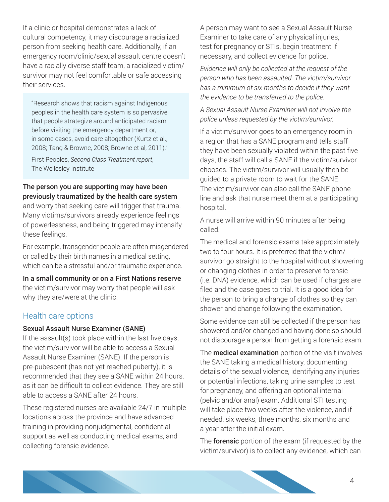If a clinic or hospital demonstrates a lack of cultural competency, it may discourage a racialized person from seeking health care. Additionally, if an emergency room/clinic/sexual assault centre doesn't have a racially diverse staff team, a racialized victim/ survivor may not feel comfortable or safe accessing their services.

"Research shows that racism against Indigenous peoples in the health care system is so pervasive that people strategize around anticipated racism before visiting the emergency department or, in some cases, avoid care altogether (Kurtz et al., 2008; Tang & Browne, 2008; Browne et al, 2011)."

First Peoples, *Second Class Treatment report*, The Wellesley Institute

#### The person you are supporting may have been previously traumatized by the health care system

and worry that seeking care will trigger that trauma. Many victims/survivors already experience feelings of powerlessness, and being triggered may intensify these feelings.

For example, transgender people are often misgendered or called by their birth names in a medical setting, which can be a stressful and/or traumatic experience.

### In a small community or on a First Nations reserve

the victim/survivor may worry that people will ask why they are/were at the clinic.

#### Health care options

#### Sexual Assault Nurse Examiner (SANE)

If the assault(s) took place within the last five days, the victim/survivor will be able to access a Sexual Assault Nurse Examiner (SANE). If the person is pre-pubescent (has not yet reached puberty), it is recommended that they see a SANE within 24 hours, as it can be difficult to collect evidence. They are still able to access a SANE after 24 hours.

These registered nurses are available 24/7 in multiple locations across the province and have advanced training in providing nonjudgmental, confidential support as well as conducting medical exams, and collecting forensic evidence.

A person may want to see a Sexual Assault Nurse Examiner to take care of any physical injuries, test for pregnancy or STIs, begin treatment if necessary, and collect evidence for police.

*Evidence will only be collected at the request of the person who has been assaulted. The victim/survivor has a minimum of six months to decide if they want the evidence to be transferred to the police.*

*A Sexual Assault Nurse Examiner will not involve the police unless requested by the victim/survivor.*

If a victim/survivor goes to an emergency room in a region that has a SANE program and tells staff they have been sexually violated within the past five days, the staff will call a SANE if the victim/survivor chooses. The victim/survivor will usually then be guided to a private room to wait for the SANE. The victim/survivor can also call the SANE phone line and ask that nurse meet them at a participating hospital.

A nurse will arrive within 90 minutes after being called.

The medical and forensic exams take approximately two to four hours. It is preferred that the victim/ survivor go straight to the hospital without showering or changing clothes in order to preserve forensic (i.e. DNA) evidence, which can be used if charges are filed and the case goes to trial. It is a good idea for the person to bring a change of clothes so they can shower and change following the examination.

Some evidence can still be collected if the person has showered and/or changed and having done so should not discourage a person from getting a forensic exam.

The **medical examination** portion of the visit involves the SANE taking a medical history, documenting details of the sexual violence, identifying any injuries or potential infections, taking urine samples to test for pregnancy, and offering an optional internal (pelvic and/or anal) exam. Additional STI testing will take place two weeks after the violence, and if needed, six weeks, three months, six months and a year after the initial exam.

The **forensic** portion of the exam (if requested by the victim/survivor) is to collect any evidence, which can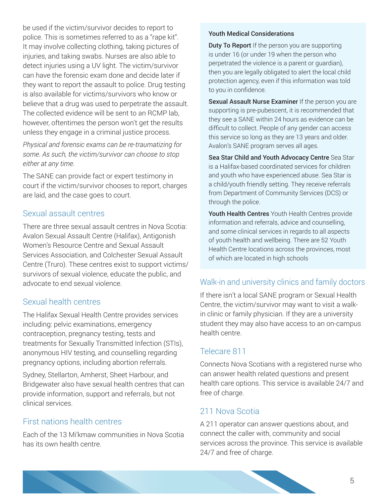be used if the victim/survivor decides to report to police. This is sometimes referred to as a "rape kit". It may involve collecting clothing, taking pictures of injuries, and taking swabs. Nurses are also able to detect injuries using a UV light. The victim/survivor can have the forensic exam done and decide later if they want to report the assault to police. Drug testing is also available for victims/survivors who know or believe that a drug was used to perpetrate the assault. The collected evidence will be sent to an RCMP lab, however, oftentimes the person won't get the results unless they engage in a criminal justice process.

*Physical and forensic exams can be re-traumatizing for some. As such, the victim/survivor can choose to stop either at any time.*

The SANE can provide fact or expert testimony in court if the victim/survivor chooses to report, charges are laid, and the case goes to court.

#### Sexual assault centres

There are three sexual assault centres in Nova Scotia: Avalon Sexual Assault Centre (Halifax), Antigonish Women's Resource Centre and Sexual Assault Services Association, and Colchester Sexual Assault Centre (Truro). These centres exist to support victims/ survivors of sexual violence, educate the public, and advocate to end sexual violence.

#### Sexual health centres

The Halifax Sexual Health Centre provides services including: pelvic examinations, emergency contraception, pregnancy testing, tests and treatments for Sexually Transmitted Infection (STIs), anonymous HIV testing, and counselling regarding pregnancy options, including abortion referrals.

Sydney, Stellarton, Amherst, Sheet Harbour, and Bridgewater also have sexual health centres that can provide information, support and referrals, but not clinical services.

#### First nations health centres

Each of the 13 Mi'kmaw communities in Nova Scotia has its own health centre.

#### Youth Medical Considerations

**Duty To Report** If the person you are supporting is under 16 (or under 19 when the person who perpetrated the violence is a parent or guardian), then you are legally obligated to alert the local child protection agency, even if this information was told to you in confidence.

Sexual Assault Nurse Examiner If the person you are supporting is pre-pubescent, it is recommended that they see a SANE within 24 hours as evidence can be difficult to collect. People of any gender can access this service so long as they are 13 years and older. Avalon's SANE program serves all ages.

Sea Star Child and Youth Advocacy Centre Sea Star is a Halifax-based coordinated services for children and youth who have experienced abuse. Sea Star is a child/youth friendly setting. They receive referrals from Department of Community Services (DCS) or through the police.

Youth Health Centres Youth Health Centres provide information and referrals, advice and counselling, and some clinical services in regards to all aspects of youth health and wellbeing. There are 52 Youth Health Centre locations across the provinces, most of which are located in high schools

#### Walk-in and university clinics and family doctors

If there isn't a local SANE program or Sexual Health Centre, the victim/survivor may want to visit a walkin clinic or family physician. If they are a university student they may also have access to an on-campus health centre.

#### Telecare 811

Connects Nova Scotians with a registered nurse who can answer health related questions and present health care options. This service is available 24/7 and free of charge.

#### 211 Nova Scotia

A 211 operator can answer questions about, and connect the caller with, community and social services across the province. This service is available 24/7 and free of charge.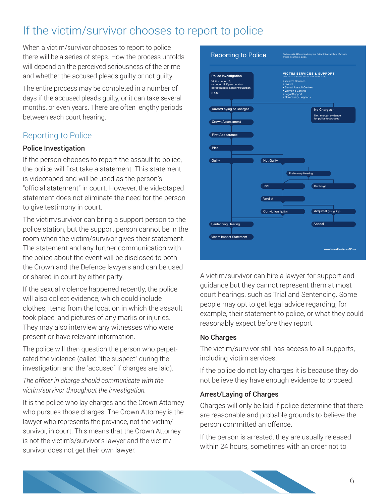### If the victim/survivor chooses to report to police

When a victim/survivor chooses to report to police there will be a series of steps. How the process unfolds will depend on the perceived seriousness of the crime and whether the accused pleads guilty or not guilty.

The entire process may be completed in a number of days if the accused pleads guilty, or it can take several months, or even years. There are often lengthy periods between each court hearing.

### Reporting to Police

#### Police Investigation

If the person chooses to report the assault to police, the police will first take a statement. This statement is videotaped and will be used as the person's "official statement" in court. However, the videotaped statement does not eliminate the need for the person to give testimony in court.

The victim/survivor can bring a support person to the police station, but the support person cannot be in the room when the victim/survivor gives their statement. The statement and any further communication with the police about the event will be disclosed to both the Crown and the Defence lawyers and can be used or shared in court by either party.

If the sexual violence happened recently, the police will also collect evidence, which could include clothes, items from the location in which the assault took place, and pictures of any marks or injuries. They may also interview any witnesses who were present or have relevant information.

The police will then question the person who perpetrated the violence (called "the suspect" during the investigation and the "accused" if charges are laid).

#### *The officer in charge should communicate with the victim/survivor throughout the investigation.*

It is the police who lay charges and the Crown Attorney who pursues those charges. The Crown Attorney is the lawyer who represents the province, not the victim/ survivor, in court. This means that the Crown Attorney is not the victim's/survivor's lawyer and the victim/ survivor does not get their own lawyer.



A victim/survivor can hire a lawyer for support and guidance but they cannot represent them at most court hearings, such as Trial and Sentencing. Some people may opt to get legal advice regarding, for example, their statement to police, or what they could reasonably expect before they report.

#### No Charges

The victim/survivor still has access to all supports, including victim services.

If the police do not lay charges it is because they do not believe they have enough evidence to proceed.

#### Arrest/Laying of Charges

Charges will only be laid if police determine that there are reasonable and probable grounds to believe the person committed an offence.

If the person is arrested, they are usually released within 24 hours, sometimes with an order not to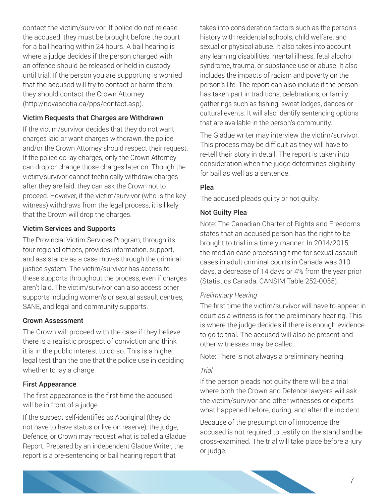contact the victim/survivor. If police do not release the accused, they must be brought before the court for a bail hearing within 24 hours. A bail hearing is where a judge decides if the person charged with an offence should be released or held in custody until trial. If the person you are supporting is worried that the accused will try to contact or harm them, they should contact the Crown Attorney (http://novascotia.ca/pps/contact.asp).

#### Victim Requests that Charges are Withdrawn

If the victim/survivor decides that they do not want charges laid or want charges withdrawn, the police and/or the Crown Attorney should respect their request. If the police do lay charges, only the Crown Attorney can drop or change those charges later on. Though the victim/survivor cannot technically withdraw charges after they are laid, they can ask the Crown not to proceed. However, if the victim/survivor (who is the key witness) withdraws from the legal process, it is likely that the Crown will drop the charges.

#### Victim Services and Supports

The Provincial Victim Services Program, through its four regional offices, provides information, support, and assistance as a case moves through the criminal justice system. The victim/survivor has access to these supports throughout the process, even if charges aren't laid. The victim/survivor can also access other supports including women's or sexual assault centres, SANE, and legal and community supports.

#### Crown Assessment

The Crown will proceed with the case if they believe there is a realistic prospect of conviction and think it is in the public interest to do so. This is a higher legal test than the one that the police use in deciding whether to lay a charge.

#### First Appearance

The first appearance is the first time the accused will be in front of a judge.

If the suspect self-identifies as Aboriginal (they do not have to have status or live on reserve), the judge, Defence, or Crown may request what is called a Gladue Report. Prepared by an independent Gladue Writer, the report is a pre-sentencing or bail hearing report that

takes into consideration factors such as the person's history with residential schools, child welfare, and sexual or physical abuse. It also takes into account any learning disabilities, mental illness, fetal alcohol syndrome, trauma, or substance use or abuse. It also includes the impacts of racism and poverty on the person's life. The report can also include if the person has taken part in traditions, celebrations, or family gatherings such as fishing, sweat lodges, dances or cultural events. It will also identify sentencing options that are available in the person's community.

The Gladue writer may interview the victim/survivor. This process may be difficult as they will have to re-tell their story in detail. The report is taken into consideration when the judge determines eligibility for bail as well as a sentence.

#### Plea

The accused pleads guilty or not guilty.

#### Not Guilty Plea

Note: The Canadian Charter of Rights and Freedoms states that an accused person has the right to be brought to trial in a timely manner. In 2014/2015, the median case processing time for sexual assault cases in adult criminal courts in Canada was 310 days, a decrease of 14 days or 4% from the year prior (Statistics Canada, CANSIM Table 252-0055).

#### *Preliminary Hearing*

The first time the victim/survivor will have to appear in court as a witness is for the preliminary hearing. This is where the judge decides if there is enough evidence to go to trial. The accused will also be present and other witnesses may be called.

Note: There is not always a preliminary hearing.

#### *Trial*

If the person pleads not guilty there will be a trial where both the Crown and Defence lawyers will ask the victim/survivor and other witnesses or experts what happened before, during, and after the incident.

Because of the presumption of innocence the accused is not required to testify on the stand and be cross-examined. The trial will take place before a jury or judge.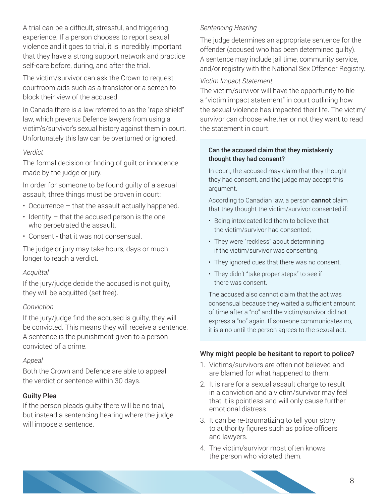A trial can be a difficult, stressful, and triggering experience. If a person chooses to report sexual violence and it goes to trial, it is incredibly important that they have a strong support network and practice self-care before, during, and after the trial.

The victim/survivor can ask the Crown to request courtroom aids such as a translator or a screen to block their view of the accused.

In Canada there is a law referred to as the "rape shield" law, which prevents Defence lawyers from using a victim's/survivor's sexual history against them in court. Unfortunately this law can be overturned or ignored.

#### *Verdict*

The formal decision or finding of guilt or innocence made by the judge or jury.

In order for someone to be found guilty of a sexual assault, three things must be proven in court:

- Occurrence that the assault actually happened.
- Identity that the accused person is the one who perpetrated the assault.
- Consent that it was not consensual.

The judge or jury may take hours, days or much longer to reach a verdict.

#### *Acquittal*

If the jury/judge decide the accused is not guilty, they will be acquitted (set free).

#### *Conviction*

If the jury/judge find the accused is guilty, they will be convicted. This means they will receive a sentence. A sentence is the punishment given to a person convicted of a crime.

#### *Appeal*

Both the Crown and Defence are able to appeal the verdict or sentence within 30 days.

#### Guilty Plea

If the person pleads guilty there will be no trial, but instead a sentencing hearing where the judge will impose a sentence.

#### *Sentencing Hearing*

The judge determines an appropriate sentence for the offender (accused who has been determined guilty). A sentence may include jail time, community service, and/or registry with the National Sex Offender Registry.

#### *Victim Impact Statement*

The victim/survivor will have the opportunity to file a "victim impact statement" in court outlining how the sexual violence has impacted their life. The victim/ survivor can choose whether or not they want to read the statement in court.

#### Can the accused claim that they mistakenly thought they had consent?

In court, the accused may claim that they thought they had consent, and the judge may accept this argument.

According to Canadian law, a person cannot claim that they thought the victim/survivor consented if:

- Being intoxicated led them to believe that the victim/survivor had consented;
- They were "reckless" about determining if the victim/survivor was consenting.
- They ignored cues that there was no consent.
- They didn't "take proper steps" to see if there was consent.

The accused also cannot claim that the act was consensual because they waited a sufficient amount of time after a "no" and the victim/survivor did not express a "no" again. If someone communicates no, it is a no until the person agrees to the sexual act.

#### Why might people be hesitant to report to police?

- 1. Victims/survivors are often not believed and are blamed for what happened to them.
- 2. It is rare for a sexual assault charge to result in a conviction and a victim/survivor may feel that it is pointless and will only cause further emotional distress.
- 3. It can be re-traumatizing to tell your story to authority figures such as police officers and lawyers.
- 4. The victim/survivor most often knows the person who violated them.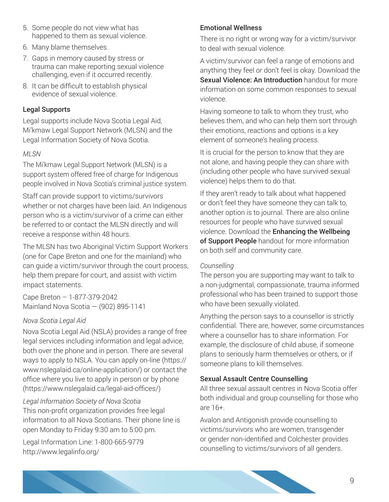- 5. Some people do not view what has happened to them as sexual violence.
- 6. Many blame themselves.
- 7. Gaps in memory caused by stress or trauma can make reporting sexual violence challenging, even if it occurred recently.
- 8. It can be difficult to establish physical evidence of sexual violence.

#### Legal Supports

Legal supports include Nova Scotia Legal Aid, Mi'kmaw Legal Support Network (MLSN) and the Legal Information Society of Nova Scotia.

#### *MLSN*

The Mi'kmaw Legal Support Network (MLSN) is a support system offered free of charge for Indigenous people involved in Nova Scotia's criminal justice system.

Staff can provide support to victims/survivors whether or not charges have been laid. An Indigenous person who is a victim/survivor of a crime can either be referred to or contact the MLSN directly and will receive a response within 48 hours.

The MLSN has two Aboriginal Victim Support Workers (one for Cape Breton and one for the mainland) who can guide a victim/survivor through the court process, help them prepare for court, and assist with victim impact statements.

Cape Breton – 1-877-379-2042 Mainland Nova Scotia — (902) 895-1141

#### *Nova Scotia Legal Aid*

Nova Scotia Legal Aid (NSLA) provides a range of free legal services including information and legal advice, both over the phone and in person. There are several ways to apply to NSLA. You can apply on-line (https:// www.nslegalaid.ca/online-application/) or contact the office where you live to apply in person or by phone (https://www.nslegalaid.ca/legal-aid-offices/)

#### *Legal Information Society of Nova Scotia*

This non-profit organization provides free legal information to all Nova Scotians. Their phone line is open Monday to Friday 9:30 am to 5:00 pm.

Legal Information Line: 1-800-665-9779 http://www.legalinfo.org/

#### Emotional Wellness

There is no right or wrong way for a victim/survivor to deal with sexual violence.

A victim/survivor can feel a range of emotions and anything they feel or don't feel is okay. Download the Sexual Violence: An Introduction handout for more information on some common responses to sexual violence.

Having someone to talk to whom they trust, who believes them, and who can help them sort through their emotions, reactions and options is a key element of someone's healing process.

It is crucial for the person to know that they are not alone, and having people they can share with (including other people who have survived sexual violence) helps them to do that.

If they aren't ready to talk about what happened or don't feel they have someone they can talk to, another option is to journal. There are also online resources for people who have survived sexual violence. Download the Enhancing the Wellbeing of Support People handout for more information on both self and community care.

#### *Counselling*

The person you are supporting may want to talk to a non-judgmental, compassionate, trauma informed professional who has been trained to support those who have been sexually violated.

Anything the person says to a counsellor is strictly confidential. There are, however, some circumstances where a counsellor has to share information. For example, the disclosure of child abuse, if someone plans to seriously harm themselves or others, or if someone plans to kill themselves.

#### Sexual Assault Centre Counselling

All three sexual assault centres in Nova Scotia offer both individual and group counselling for those who are 16+.

Avalon and Antigonish provide counselling to victims/survivors who are women, transgender or gender non-identified and Colchester provides counselling to victims/survivors of all genders.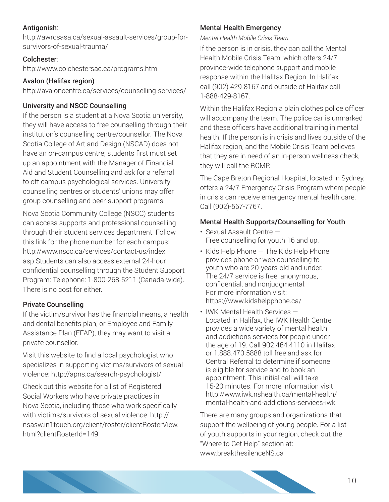#### Antigonish:

http://awrcsasa.ca/sexual-assault-services/group-forsurvivors-of-sexual-trauma/

#### Colchester:

http://www.colchestersac.ca/programs.htm

#### Avalon (Halifax region):

http://avaloncentre.ca/services/counselling-services/

#### University and NSCC Counselling

If the person is a student at a Nova Scotia university, they will have access to free counselling through their institution's counselling centre/counsellor. The Nova Scotia College of Art and Design (NSCAD) does not have an on-campus centre; students first must set up an appointment with the Manager of Financial Aid and Student Counselling and ask for a referral to off campus psychological services. University counselling centres or students' unions may offer group counselling and peer-support programs.

Nova Scotia Community College (NSCC) students can access supports and professional counselling through their student services department. Follow this link for the phone number for each campus: http://www.nscc.ca/services/contact-us/index. asp Students can also access external 24-hour confidential counselling through the Student Support Program: Telephone: 1-800-268-5211 (Canada-wide). There is no cost for either.

#### Private Counselling

If the victim/survivor has the financial means, a health and dental benefits plan, or Employee and Family Assistance Plan (EFAP), they may want to visit a private counsellor.

Visit this website to find a local psychologist who specializes in supporting victims/survivors of sexual violence: http://apns.ca/search-psychologist/

Check out this website for a list of Registered Social Workers who have private practices in Nova Scotia, including those who work specifically with victims/survivors of sexual violence: http:// nsasw.in1touch.org/client/roster/clientRosterView. html?clientRosterId=149

#### Mental Health Emergency

*Mental Health Mobile Crisis Team* 

If the person is in crisis, they can call the Mental Health Mobile Crisis Team, which offers 24/7 province-wide telephone support and mobile response within the Halifax Region. In Halifax call (902) 429-8167 and outside of Halifax call 1-888-429-8167.

Within the Halifax Region a plain clothes police officer will accompany the team. The police car is unmarked and these officers have additional training in mental health. If the person is in crisis and lives outside of the Halifax region, and the Mobile Crisis Team believes that they are in need of an in-person wellness check, they will call the RCMP.

The Cape Breton Regional Hospital, located in Sydney, offers a 24/7 Emergency Crisis Program where people in crisis can receive emergency mental health care. Call (902)-567-7767.

#### Mental Health Supports/Counselling for Youth

- Sexual Assault Centre Free counselling for youth 16 and up.
- Kids Help Phone The Kids Help Phone provides phone or web counselling to youth who are 20-years-old and under. The 24/7 service is free, anonymous, confidential, and nonjudgmental. For more information visit: https://www.kidshelpphone.ca/
- IWK Mental Health Services Located in Halifax, the IWK Health Centre provides a wide variety of mental health and addictions services for people under the age of 19. Call 902.464.4110 in Halifax or 1.888.470.5888 toll free and ask for Central Referral to determine if someone is eligible for service and to book an appointment. This initial call will take 15-20 minutes. For more information visit http://www.iwk.nshealth.ca/mental-health/ mental-health-and-addictions-services-iwk

There are many groups and organizations that support the wellbeing of young people. For a list of youth supports in your region, check out the "Where to Get Help" section at: www.breakthesilenceNS.ca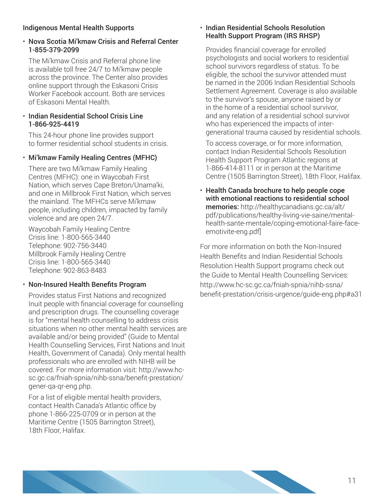#### Indigenous Mental Health Supports

#### • Nova Scotia Mi'kmaw Crisis and Referral Center 1-855-379-2099

The Mi'kmaw Crisis and Referral phone line is available toll free 24/7 to Mi'kmaw people across the province. The Center also provides online support through the Eskasoni Crisis Worker Facebook account. Both are services of Eskasoni Mental Health.

#### • Indian Residential School Crisis Line 1-866-925-4419

This 24-hour phone line provides support to former residential school students in crisis.

#### • Mi'kmaw Family Healing Centres (MFHC)

There are two Mi'kmaw Family Healing Centres (MFHC): one in Waycobah First Nation, which serves Cape Breton/Unama'ki, and one in Millbrook First Nation, which serves the mainland. The MFHCs serve Mi'kmaw people, including children, impacted by family violence and are open 24/7.

Waycobah Family Healing Centre Crisis line: 1-800-565-3440 Telephone: 902-756-3440 Millbrook Family Healing Centre Crisis line: 1-800-565-3440 Telephone: 902-863-8483

#### • Non-Insured Health Benefits Program

Provides status First Nations and recognized Inuit people with financial coverage for counselling and prescription drugs. The counselling coverage is for "mental health counselling to address crisis situations when no other mental health services are available and/or being provided" (Guide to Mental Health Counselling Services, First Nations and Inuit Health, Government of Canada). Only mental health professionals who are enrolled with NIHB will be covered. For more information visit: http://www.hcsc.gc.ca/fniah-spnia/nihb-ssna/benefit-prestation/ gener-qa-qr-eng.php.

For a list of eligible mental health providers, contact Health Canada's Atlantic office by phone 1-866-225-0709 or in person at the Maritime Centre (1505 Barrington Street), 18th Floor, Halifax.

#### • Indian Residential Schools Resolution Health Support Program (IRS RHSP)

Provides financial coverage for enrolled psychologists and social workers to residential school survivors regardless of status. To be eligible, the school the survivor attended must be named in the 2006 Indian Residential Schools Settlement Agreement. Coverage is also available to the survivor's spouse, anyone raised by or in the home of a residential school survivor, and any relation of a residential school survivor who has experienced the impacts of intergenerational trauma caused by residential schools.

To access coverage, or for more information, contact Indian Residential Schools Resolution Health Support Program Atlantic regions at 1-866-414-8111 or in person at the Maritime Centre (1505 Barrington Street), 18th Floor, Halifax.

• Health Canada brochure to help people cope with emotional reactions to residential school memories: http://healthycanadians.gc.ca/alt/ pdf/publications/healthy-living-vie-saine/mentalhealth-sante-mentale/coping-emotional-faire-faceemotivite-eng.pdf]

For more information on both the Non-Insured Health Benefits and Indian Residential Schools Resolution Health Support programs check out the Guide to Mental Health Counselling Services: http://www.hc-sc.gc.ca/fniah-spnia/nihb-ssna/ benefit-prestation/crisis-urgence/guide-eng.php#a31

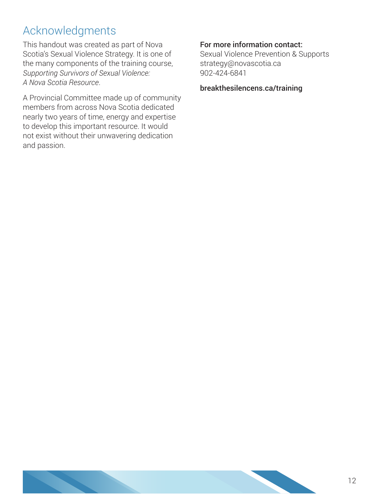### Acknowledgments

This handout was created as part of Nova Scotia's Sexual Violence Strategy. It is one of the many components of the training course, *Supporting Survivors of Sexual Violence: A Nova Scotia Resource*.

A Provincial Committee made up of community members from across Nova Scotia dedicated nearly two years of time, energy and expertise to develop this important resource. It would not exist without their unwavering dedication and passion.

#### For more information contact:

Sexual Violence Prevention & Supports strategy@novascotia.ca 902-424-6841

#### breakthesilencens.ca/training

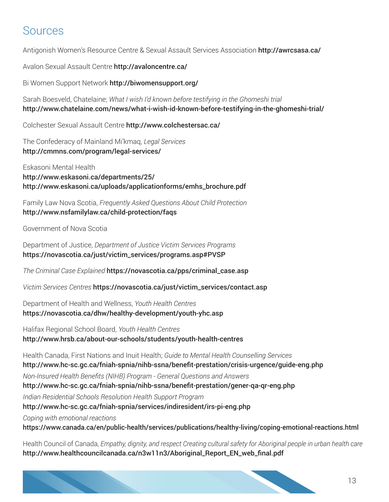### Sources

Antigonish Women's Resource Centre & Sexual Assault Services Association http://awrcsasa.ca/

Avalon Sexual Assault Centre http://avaloncentre.ca/

Bi Women Support Network http://biwomensupport.org/

Sarah Boesveld, Chatelaine; *What I wish I'd known before testifying in the Ghomeshi trial* http://www.chatelaine.com/news/what-i-wish-id-known-before-testifying-in-the-ghomeshi-trial/

Colchester Sexual Assault Centre http://www.colchestersac.ca/

The Confederacy of Mainland Mi'kmaq, *Legal Services* http://cmmns.com/program/legal-services/

Eskasoni Mental Health http://www.eskasoni.ca/departments/25/ http://www.eskasoni.ca/uploads/applicationforms/emhs\_brochure.pdf

Family Law Nova Scotia, *Frequently Asked Questions About Child Protection* http://www.nsfamilylaw.ca/child-protection/faqs

Government of Nova Scotia

Department of Justice, *Department of Justice Victim Services Programs* https://novascotia.ca/just/victim\_services/programs.asp#PVSP

*The Criminal Case Explained* https://novascotia.ca/pps/criminal\_case.asp

*Victim Services Centres* https://novascotia.ca/just/victim\_services/contact.asp

Department of Health and Wellness, *Youth Health Centres* https://novascotia.ca/dhw/healthy-development/youth-yhc.asp

Halifax Regional School Board, *Youth Health Centres* http://www.hrsb.ca/about-our-schools/students/youth-health-centres

Health Canada, First Nations and Inuit Health; *Guide to Mental Health Counselling Services* http://www.hc-sc.gc.ca/fniah-spnia/nihb-ssna/benefit-prestation/crisis-urgence/guide-eng.php *Non-Insured Health Benefits (NIHB) Program - General Questions and Answers* http://www.hc-sc.gc.ca/fniah-spnia/nihb-ssna/benefit-prestation/gener-qa-qr-eng.php *Indian Residential Schools Resolution Health Support Program* http://www.hc-sc.gc.ca/fniah-spnia/services/indiresident/irs-pi-eng.php *Coping with emotional reactions* https://www.canada.ca/en/public-health/services/publications/healthy-living/coping-emotional-reactions.html

Health Council of Canada, *Empathy, dignity, and respect Creating cultural safety for Aboriginal people in urban health care* http://www.healthcouncilcanada.ca/n3w11n3/Aboriginal\_Report\_EN\_web\_final.pdf

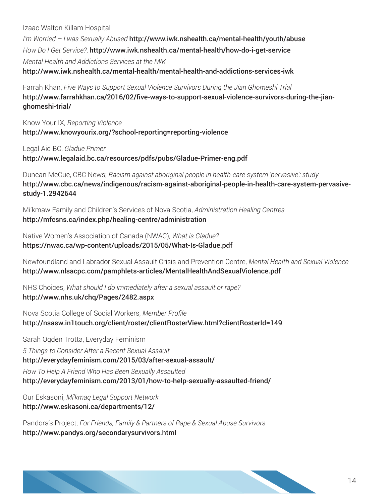Izaac Walton Killam Hospital

*I'm Worried – I was Sexually Abused* http://www.iwk.nshealth.ca/mental-health/youth/abuse *How Do I Get Service?*, http://www.iwk.nshealth.ca/mental-health/how-do-i-get-service *Mental Health and Addictions Services at the IWK* http://www.iwk.nshealth.ca/mental-health/mental-health-and-addictions-services-iwk

Farrah Khan, *Five Ways to Support Sexual Violence Survivors During the Jian Ghomeshi Trial* http://www.farrahkhan.ca/2016/02/five-ways-to-support-sexual-violence-survivors-during-the-jianghomeshi-trial/

Know Your IX, *Reporting Violence* http://www.knowyourix.org/?school-reporting=reporting-violence

Legal Aid BC, *Gladue Primer* http://www.legalaid.bc.ca/resources/pdfs/pubs/Gladue-Primer-eng.pdf

Duncan McCue, CBC News; *Racism against aboriginal people in health-care system 'pervasive': study* http://www.cbc.ca/news/indigenous/racism-against-aboriginal-people-in-health-care-system-pervasivestudy-1.2942644

Mi'kmaw Family and Children's Services of Nova Scotia, *Administration Healing Centres* http://mfcsns.ca/index.php/healing-centre/administration

Native Women's Association of Canada (NWAC), *What is Gladue?* https://nwac.ca/wp-content/uploads/2015/05/What-Is-Gladue.pdf

Newfoundland and Labrador Sexual Assault Crisis and Prevention Centre, *Mental Health and Sexual Violence* http://www.nlsacpc.com/pamphlets-articles/MentalHealthAndSexualViolence.pdf

NHS Choices, *What should I do immediately after a sexual assault or rape?* http://www.nhs.uk/chq/Pages/2482.aspx

Nova Scotia College of Social Workers, *Member Profile* http://nsasw.in1touch.org/client/roster/clientRosterView.html?clientRosterId=149

Sarah Ogden Trotta, Everyday Feminism

*5 Things to Consider After a Recent Sexual Assault* http://everydayfeminism.com/2015/03/after-sexual-assault/ *How To Help A Friend Who Has Been Sexually Assaulted* http://everydayfeminism.com/2013/01/how-to-help-sexually-assaulted-friend/

Our Eskasoni, *Mi'kmaq Legal Support Network*

http://www.eskasoni.ca/departments/12/

Pandora's Project; *For Friends, Family & Partners of Rape & Sexual Abuse Survivors* http://www.pandys.org/secondarysurvivors.html